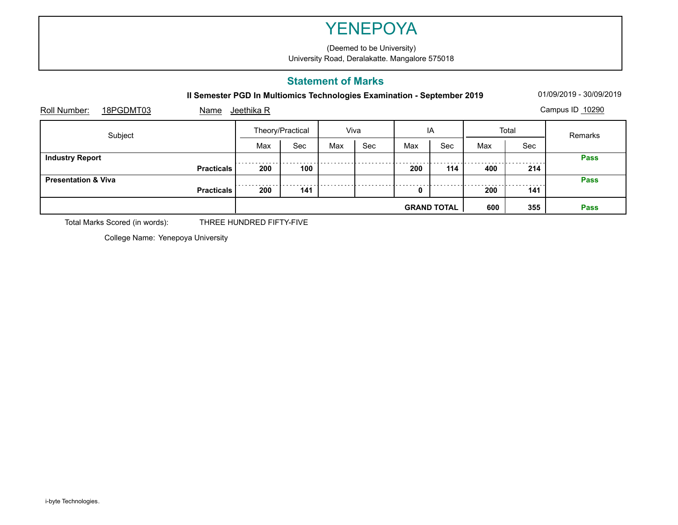#### **Statement of Marks**

|                                   | <b>YENEPOYA</b>                                                             |                           |      |     |     |     |       |  |  |  |  |  |
|-----------------------------------|-----------------------------------------------------------------------------|---------------------------|------|-----|-----|-----|-------|--|--|--|--|--|
|                                   | (Deemed to be University)<br>University Road, Deralakatte. Mangalore 575018 |                           |      |     |     |     |       |  |  |  |  |  |
|                                   |                                                                             | <b>Statement of Marks</b> |      |     |     |     |       |  |  |  |  |  |
|                                   | Il Semester PGD In Multiomics Technologies Examination - September 2019     |                           |      |     |     |     |       |  |  |  |  |  |
| Roll Number:<br>18PGDMT03<br>Name | Jeethika R                                                                  |                           |      |     |     |     |       |  |  |  |  |  |
| Subject                           | Theory/Practical                                                            |                           | Viva |     | IA  |     | Total |  |  |  |  |  |
|                                   | Max                                                                         | Sec                       | Max  | Sec | Max | Sec | Max   |  |  |  |  |  |
| <b>Industry Report</b>            |                                                                             |                           |      |     |     |     |       |  |  |  |  |  |
| <b>Practicals</b>                 | 200                                                                         | 100                       |      |     | 200 | 114 | 400   |  |  |  |  |  |
| <b>Presentation &amp; Viva</b>    |                                                                             |                           |      |     |     |     |       |  |  |  |  |  |
| <b>Practicals</b>                 | 200                                                                         | 141                       |      |     | 0   |     | 200   |  |  |  |  |  |
|                                   | 600<br><b>GRAND TOTAL</b>                                                   |                           |      |     |     |     |       |  |  |  |  |  |

Total Marks Scored (in words): THREE HUNDRED FIFTY-FIVE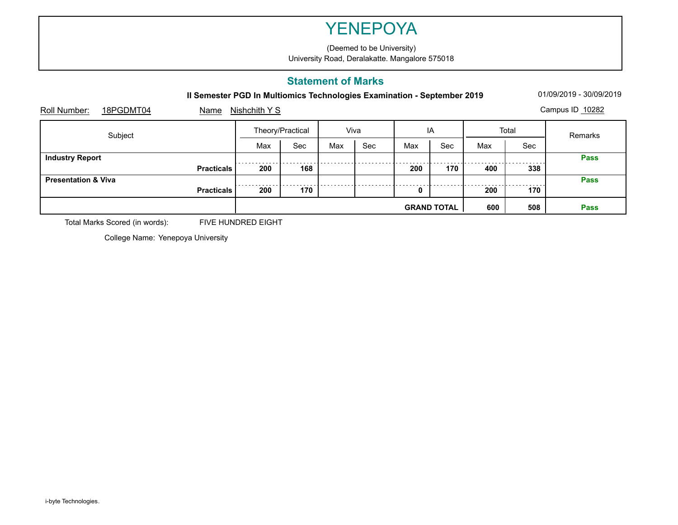#### **Statement of Marks**

|                                |                   | <b>YENEPOYA</b>                                                             |     |      |     |     |     |       |  |  |  |  |  |
|--------------------------------|-------------------|-----------------------------------------------------------------------------|-----|------|-----|-----|-----|-------|--|--|--|--|--|
|                                |                   | (Deemed to be University)<br>University Road, Deralakatte. Mangalore 575018 |     |      |     |     |     |       |  |  |  |  |  |
|                                |                   | <b>Statement of Marks</b>                                                   |     |      |     |     |     |       |  |  |  |  |  |
|                                |                   | Il Semester PGD In Multiomics Technologies Examination - September 2019     |     |      |     |     |     |       |  |  |  |  |  |
| Roll Number:<br>18PGDMT04      | Name              | Nishchith Y S                                                               |     |      |     |     |     |       |  |  |  |  |  |
| Subject                        |                   | Theory/Practical                                                            |     | Viva |     | IA  |     | Total |  |  |  |  |  |
|                                |                   | Max                                                                         | Sec | Max  | Sec | Max | Sec | Max   |  |  |  |  |  |
| <b>Industry Report</b>         |                   |                                                                             |     |      |     |     |     |       |  |  |  |  |  |
|                                | <b>Practicals</b> | 200                                                                         | 168 |      |     | 200 | 170 | 400   |  |  |  |  |  |
| <b>Presentation &amp; Viva</b> |                   |                                                                             |     |      |     |     |     |       |  |  |  |  |  |
|                                | <b>Practicals</b> | 200                                                                         | 170 |      |     | 0   |     | 200   |  |  |  |  |  |
|                                |                   | 600<br><b>GRAND TOTAL</b>                                                   |     |      |     |     |     |       |  |  |  |  |  |

Total Marks Scored (in words): FIVE HUNDRED EIGHT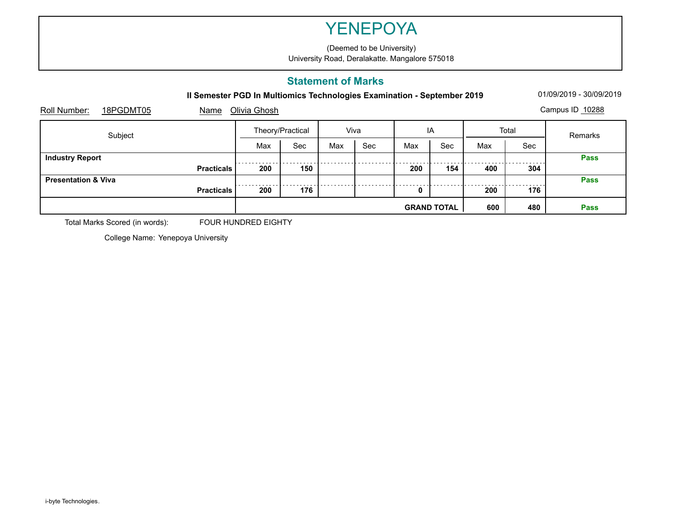#### **Statement of Marks**

|                                   |                   | <b>YENEPOYA</b>                                                             |     |      |     |     |     |       |  |  |  |  |
|-----------------------------------|-------------------|-----------------------------------------------------------------------------|-----|------|-----|-----|-----|-------|--|--|--|--|
|                                   |                   | (Deemed to be University)<br>University Road, Deralakatte. Mangalore 575018 |     |      |     |     |     |       |  |  |  |  |
|                                   |                   | <b>Statement of Marks</b>                                                   |     |      |     |     |     |       |  |  |  |  |
|                                   |                   | Il Semester PGD In Multiomics Technologies Examination - September 2019     |     |      |     |     |     |       |  |  |  |  |
| Roll Number:<br>18PGDMT05<br>Name |                   | Olivia Ghosh                                                                |     |      |     |     |     |       |  |  |  |  |
| Subject                           |                   | Theory/Practical                                                            |     | Viva |     | IA  |     | Total |  |  |  |  |
|                                   |                   | Max                                                                         | Sec | Max  | Sec | Max | Sec | Max   |  |  |  |  |
| <b>Industry Report</b>            |                   |                                                                             |     |      |     |     |     |       |  |  |  |  |
|                                   | <b>Practicals</b> | 200                                                                         | 150 |      |     | 200 | 154 | 400   |  |  |  |  |
| <b>Presentation &amp; Viva</b>    |                   |                                                                             |     |      |     |     |     |       |  |  |  |  |
|                                   | <b>Practicals</b> | 200                                                                         | 176 |      |     | 0   |     | 200   |  |  |  |  |
|                                   |                   |                                                                             | 600 |      |     |     |     |       |  |  |  |  |

Total Marks Scored (in words): FOUR HUNDRED EIGHTY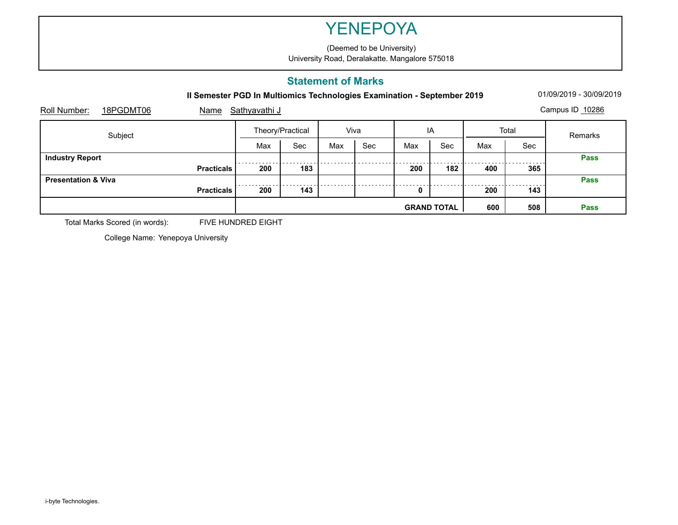#### **Statement of Marks**

|                                   | <b>YENEPOYA</b>                                                             |                  |      |     |     |     |       |  |  |  |  |  |
|-----------------------------------|-----------------------------------------------------------------------------|------------------|------|-----|-----|-----|-------|--|--|--|--|--|
|                                   | (Deemed to be University)<br>University Road, Deralakatte. Mangalore 575018 |                  |      |     |     |     |       |  |  |  |  |  |
|                                   | <b>Statement of Marks</b>                                                   |                  |      |     |     |     |       |  |  |  |  |  |
|                                   | Il Semester PGD In Multiomics Technologies Examination - September 2019     |                  |      |     |     |     |       |  |  |  |  |  |
| Roll Number:<br>18PGDMT06<br>Name | <u>Sathyavathi J</u>                                                        |                  |      |     |     |     |       |  |  |  |  |  |
| Subject                           |                                                                             | Theory/Practical | Viva |     | IA  |     | Total |  |  |  |  |  |
|                                   | Max                                                                         | Sec              | Max  | Sec | Max | Sec | Max   |  |  |  |  |  |
| <b>Industry Report</b>            |                                                                             |                  |      |     |     |     |       |  |  |  |  |  |
| <b>Practicals</b>                 | 200                                                                         | 183              |      |     | 200 | 182 | 400   |  |  |  |  |  |
| <b>Presentation &amp; Viva</b>    |                                                                             |                  |      |     |     |     |       |  |  |  |  |  |
| <b>Practicals</b>                 | 200                                                                         | 143              |      |     | 0   |     | 200   |  |  |  |  |  |
|                                   | 600<br><b>GRAND TOTAL</b>                                                   |                  |      |     |     |     |       |  |  |  |  |  |

Total Marks Scored (in words): FIVE HUNDRED EIGHT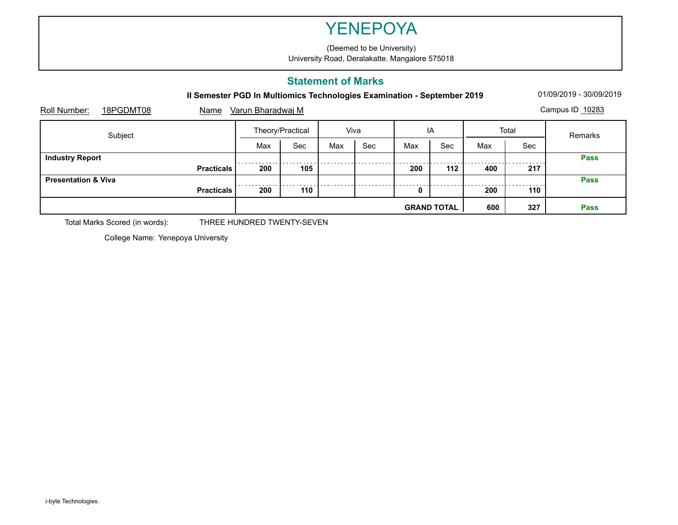#### **Statement of Marks**

|                                |                   | <b>YENEPOYA</b>                                                             |     |      |     |     |     |       |  |  |  |  |  |
|--------------------------------|-------------------|-----------------------------------------------------------------------------|-----|------|-----|-----|-----|-------|--|--|--|--|--|
|                                |                   | (Deemed to be University)<br>University Road, Deralakatte. Mangalore 575018 |     |      |     |     |     |       |  |  |  |  |  |
|                                |                   | <b>Statement of Marks</b>                                                   |     |      |     |     |     |       |  |  |  |  |  |
|                                |                   | Il Semester PGD In Multiomics Technologies Examination - September 2019     |     |      |     |     |     |       |  |  |  |  |  |
| Roll Number:<br>18PGDMT08      | Name              | Varun Bharadwaj M                                                           |     |      |     |     |     |       |  |  |  |  |  |
| Subject                        |                   | Theory/Practical                                                            |     | Viva |     | IA  |     | Total |  |  |  |  |  |
|                                |                   | Max                                                                         | Sec | Max  | Sec | Max | Sec | Max   |  |  |  |  |  |
| <b>Industry Report</b>         |                   |                                                                             |     |      |     |     |     |       |  |  |  |  |  |
|                                | <b>Practicals</b> | 200                                                                         | 105 |      |     | 200 | 112 | 400   |  |  |  |  |  |
| <b>Presentation &amp; Viva</b> |                   |                                                                             |     |      |     |     |     |       |  |  |  |  |  |
|                                | <b>Practicals</b> | 200                                                                         | 110 |      |     | 0   |     | 200   |  |  |  |  |  |
|                                |                   | 600<br><b>GRAND TOTAL</b>                                                   |     |      |     |     |     |       |  |  |  |  |  |

Total Marks Scored (in words): THREE HUNDRED TWENTY-SEVEN